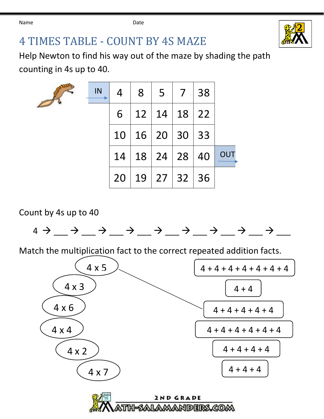

## TIMES TABLE - COUNT BY 4S MAZE

Help Newton to find his way out of the maze by shading the path counting in 4s up to 40.

| IN | 4  | $8 \mid 5$                   | $\vert 7 \vert$ | 38 |     |
|----|----|------------------------------|-----------------|----|-----|
|    | 6  | $12 \mid 14 \mid 18 \mid 22$ |                 |    |     |
|    |    | 10   16   20   30   33       |                 |    |     |
|    |    | 14   18   24   28            |                 | 40 | OUT |
|    | 20 | 19   27   32   36            |                 |    |     |

Count by 4s up to 40



Match the multiplication fact to the correct repeated addition facts.